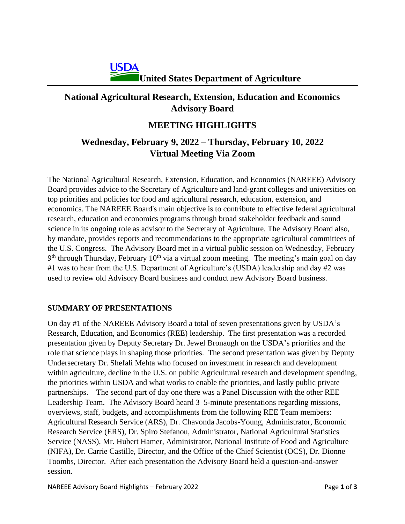# **National Agricultural Research, Extension, Education and Economics Advisory Board**

## **MEETING HIGHLIGHTS**

# **Wednesday, February 9, 2022 – Thursday, February 10, 2022 Virtual Meeting Via Zoom**

The National Agricultural Research, Extension, Education, and Economics (NAREEE) Advisory Board provides advice to the Secretary of Agriculture and land-grant colleges and universities on top priorities and policies for food and agricultural research, education, extension, and economics. The NAREEE Board's main objective is to contribute to effective federal agricultural research, education and economics programs through broad stakeholder feedback and sound science in its ongoing role as advisor to the Secretary of Agriculture. The Advisory Board also, by mandate, provides reports and recommendations to the appropriate agricultural committees of the U.S. Congress. The Advisory Board met in a virtual public session on Wednesday, February 9<sup>th</sup> through Thursday, February 10<sup>th</sup> via a virtual zoom meeting. The meeting's main goal on day #1 was to hear from the U.S. Department of Agriculture's (USDA) leadership and day #2 was used to review old Advisory Board business and conduct new Advisory Board business.

### **SUMMARY OF PRESENTATIONS**

On day #1 of the NAREEE Advisory Board a total of seven presentations given by USDA's Research, Education, and Economics (REE) leadership. The first presentation was a recorded presentation given by Deputy Secretary Dr. Jewel Bronaugh on the USDA's priorities and the role that science plays in shaping those priorities. The second presentation was given by Deputy Undersecretary Dr. Shefali Mehta who focused on investment in research and development within agriculture, decline in the U.S. on public Agricultural research and development spending, the priorities within USDA and what works to enable the priorities, and lastly public private partnerships. The second part of day one there was a Panel Discussion with the other REE Leadership Team. The Advisory Board heard 3–5-minute presentations regarding missions, overviews, staff, budgets, and accomplishments from the following REE Team members: Agricultural Research Service (ARS), Dr. Chavonda Jacobs-Young, Administrator, Economic Research Service (ERS), Dr. Spiro Stefanou, Administrator, National Agricultural Statistics Service (NASS), Mr. Hubert Hamer, Administrator, National Institute of Food and Agriculture (NIFA), Dr. Carrie Castille, Director, and the Office of the Chief Scientist (OCS), Dr. Dionne Toombs, Director. After each presentation the Advisory Board held a question-and-answer session.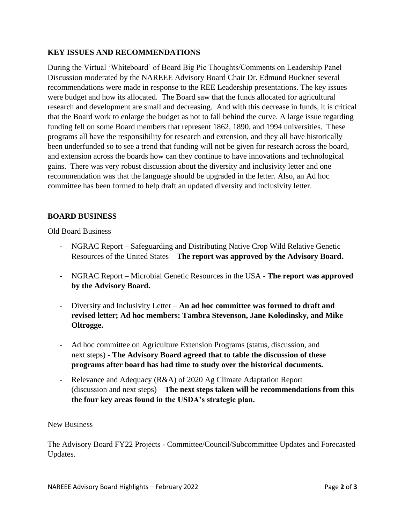### **KEY ISSUES AND RECOMMENDATIONS**

During the Virtual 'Whiteboard' of Board Big Pic Thoughts/Comments on Leadership Panel Discussion moderated by the NAREEE Advisory Board Chair Dr. Edmund Buckner several recommendations were made in response to the REE Leadership presentations. The key issues were budget and how its allocated. The Board saw that the funds allocated for agricultural research and development are small and decreasing. And with this decrease in funds, it is critical that the Board work to enlarge the budget as not to fall behind the curve. A large issue regarding funding fell on some Board members that represent 1862, 1890, and 1994 universities. These programs all have the responsibility for research and extension, and they all have historically been underfunded so to see a trend that funding will not be given for research across the board, and extension across the boards how can they continue to have innovations and technological gains. There was very robust discussion about the diversity and inclusivity letter and one recommendation was that the language should be upgraded in the letter. Also, an Ad hoc committee has been formed to help draft an updated diversity and inclusivity letter.

### **BOARD BUSINESS**

#### Old Board Business

- NGRAC Report Safeguarding and Distributing Native Crop Wild Relative Genetic Resources of the United States – **The report was approved by the Advisory Board.**
- NGRAC Report Microbial Genetic Resources in the USA **The report was approved by the Advisory Board.**
- Diversity and Inclusivity Letter **An ad hoc committee was formed to draft and revised letter; Ad hoc members: Tambra Stevenson, Jane Kolodinsky, and Mike Oltrogge.**
- Ad hoc committee on Agriculture Extension Programs (status, discussion, and next steps) - **The Advisory Board agreed that to table the discussion of these programs after board has had time to study over the historical documents.**
- Relevance and Adequacy (R&A) of 2020 Ag Climate Adaptation Report (discussion and next steps) – **The next steps taken will be recommendations from this the four key areas found in the USDA's strategic plan.**

#### New Business

The Advisory Board FY22 Projects - Committee/Council/Subcommittee Updates and Forecasted Updates.